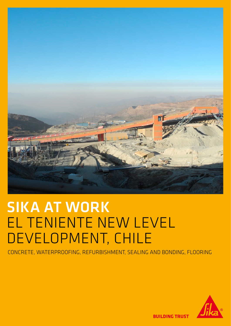

# SIKA AT WORK EL TENIENTE NEW LEVEL DEVELOPMENT, CHILE

CONCRETE, WATERPROOFING, REFURBISHMENT, SEALING AND BONDING, FLOORING



**BUILDING TRUST**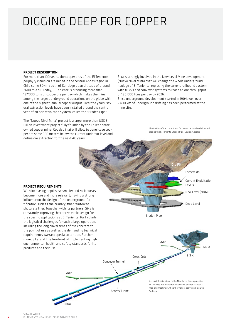## DIGGING DEEP FOR COPPER

### PROJECT DESCRIPTION

For more than 100 years, the copper ores of the El Teniente porphyry intrusion are mined in the central Andes region in Chile some 80km south of Santiago at an altitude of around 2600 m.a.s.l. Today, El Teniente is producing more than 137'000 tons of copper ore per day which makes the mine among the largest underground operations on the globe with one of the highest, annual copper output. Over the years, several extraction levels have been installed around the central vent of an acient volcano system, called the "Braden Pipe".

The "Nuevo Nivel Mina" project is a large, more than US\$ 3 Billion investment project fully founded by the Chilean state owned copper miner Codelco that will allow to panel cave copper ore some 350 meters below the current undercut level and define ore extraction for the next 40 years.

Sika is strongly involved in the New Level Mine development (Nuevo Nivel Mina) that will change the whole underground haulage of El Teniente, replacing the current railbound system with trucks and conveyor systems to reach an ore throughput of 180'000 tons per day by 2026.

Since underground development started in 1904, well over 2'400 km of underground drifting has been performed at the mine site.

> Illustration of the current and future extraction levels located around the El Teniente Braden Pipe. Source: Codelco



#### PROJECT REQUIREMENTS

With increasing depths, seismicity and rock bursts become more and more relevant, having a strong influence on the design of the underground fortification such as the primary, fiber reinforced shotcrete liner. Together with its partners, Sika is constantly improving the concrete mix design for the specific applications at El Teniente. Particularly the logistical challenges for such a large operation, including the long travel times of the concrete to the point of use as well as the demanding technical requirements warrant special attention. Furthermore, Sika is at the forefront of implementing high environmental, health and safety standards for its products and their use.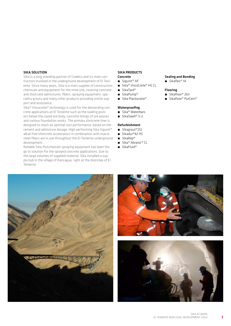### SIKA SOLUTION

Sika is a long standing partner of Codelco and its main contractors involved in the underground development of El Teniente. Since many years, Sika is a main supplier of construction chemicals and equipment for the mine site, covering concrete and shotcrete admixtures, fibers, spraying equipment, speciality grouts and many other products providing onsite support and assistance.

Sika® Viscocrete® technology is used for the demanding concrete applications at El Teniente such as the loading pockets below the caved ore body, concrete linings of ore passes and various foundation works. The primary shotcrete liner is designed to reach an optimal cost performance, based on the cement and admixture dosage. High performing Sika Sigunit® alkali free shotcrete accelerators in combination with macro steel fibers are in use throughout the El Teniente underground development.

Reliable Sika-Putzmeister spraying equipment has been the go to solution for the sprayed concrete applications. Due to the large volumes of supplied material, Sika installed a supply hub in the village of Rancagua, right at the doorstep of El Teniente.

## SIKA PRODUCTS

## Concrete

- Sigunit® AF
- Sika® ViscoCrete® HS CL
- SikaTard<sup>®</sup>
- SikaPump<sup>®</sup>
- Sika Plastocrete®

### Waterproofing

- Sika® Waterbars
- SikaSwell® S-2

## Refurbishment

- Sikagrout<sup>®</sup>212
- Sikadur®42 HS
- SikaRep®
- Sika® Abraroc® CL
- SikaFluid®





Sealing and Bonding ■ Sikaflex® 1A

Flooring ■ Sikafloor® 263 ́ Sikafloor® PurCem®